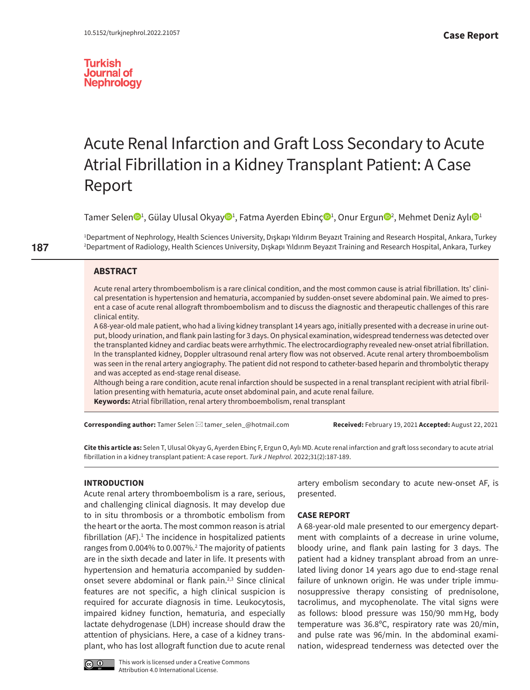

# Acute Renal Infarction and Graft Loss Secondary to Acute Atrial Fibrillation in a Kidney Transplant Patient: A Case Report

Tamer Sele[n](http://orcid.org/0000-0002-0495-0500)®<sup>ı</sup>, Güla[y](http://orcid.org/0000-0003-0770-1283) Ulusal Okyay®<sup>[ı](http://orcid.org/0000-0003-3145-1595)</sup>, Fatma Ayerden Ebinç®<sup>ı</sup>, Onur Ergun®<sup>2</sup>, Mehmet Deniz Aylı®<sup>ı</sup>

1 Department of Nephrology, Health Sciences University, Dışkapı Yıldırım Beyazıt Training and Research Hospital, Ankara, Turkey 2 Department of Radiology, Health Sciences University, Dışkapı Yıldırım Beyazıt Training and Research Hospital, Ankara, Turkey

# **ABSTRACT**

**187**

Acute renal artery thromboembolism is a rare clinical condition, and the most common cause is atrial fibrillation. Its' clinical presentation is hypertension and hematuria, accompanied by sudden-onset severe abdominal pain. We aimed to present a case of acute renal allograft thromboembolism and to discuss the diagnostic and therapeutic challenges of this rare clinical entity.

A 68-year-old male patient, who had a living kidney transplant 14 years ago, initially presented with a decrease in urine output, bloody urination, and flank pain lasting for 3 days. On physical examination, widespread tenderness was detected over the transplanted kidney and cardiac beats were arrhythmic. The electrocardiography revealed new-onset atrial fibrillation. In the transplanted kidney, Doppler ultrasound renal artery flow was not observed. Acute renal artery thromboembolism was seen in the renal artery angiography. The patient did not respond to catheter-based heparin and thrombolytic therapy and was accepted as end-stage renal disease.

Although being a rare condition, acute renal infarction should be suspected in a renal transplant recipient with atrial fibrillation presenting with hematuria, acute onset abdominal pain, and acute renal failure. **Keywords:** Atrial fibrillation, renal artery thromboembolism, renal transplant

**Corresponding author:** Tamer Selen [tamer\\_selen\\_@hotmail.com](mailto:tamer_selen_@hotmail.com) **Received:** February 19, 2021 **Accepted:** August 22, 2021

**Cite this article as:** Selen T, Ulusal Okyay G, Ayerden Ebinç F, Ergun O, Aylı MD. Acute renal infarction and graft loss secondary to acute atrial fibrillation in a kidney transplant patient: A case report. *Turk J Nephrol.* 2022;31(2):187-189.

## **INTRODUCTION**

Acute renal artery thromboembolism is a rare, serious, and challenging clinical diagnosis. It may develop due to in situ thrombosis or a thrombotic embolism from the heart or the aorta. The most common reason is atrial  $fibrillation (AF).<sup>1</sup> The incidence in hospitalized patients$ ranges from 0.004% to 0.007%.<sup>2</sup> The majority of patients are in the sixth decade and later in life. It presents with hypertension and hematuria accompanied by suddenonset severe abdominal or flank pain[.2](#page-2-1),[3](#page-2-2) Since clinical features are not specific, a high clinical suspicion is required for accurate diagnosis in time. Leukocytosis, impaired kidney function, hematuria, and especially lactate dehydrogenase (LDH) increase should draw the attention of physicians. Here, a case of a kidney transplant, who has lost allograft function due to acute renal artery embolism secondary to acute new-onset AF, is presented.

#### **CASE REPORT**

A 68-year-old male presented to our emergency department with complaints of a decrease in urine volume, bloody urine, and flank pain lasting for 3 days. The patient had a kidney transplant abroad from an unrelated living donor 14 years ago due to end-stage renal failure of unknown origin. He was under triple immunosuppressive therapy consisting of prednisolone, tacrolimus, and mycophenolate. The vital signs were as follows: blood pressure was 150/90 mmHg, body temperature was 36.8ºC, respiratory rate was 20/min, and pulse rate was 96/min. In the abdominal examination, widespread tenderness was detected over the

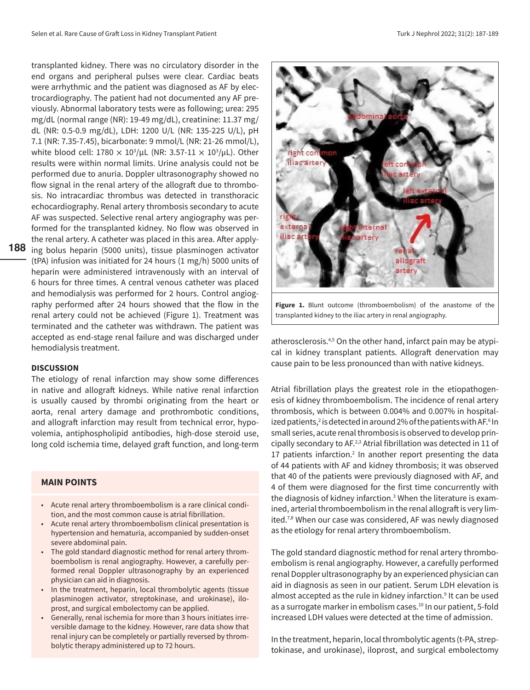**188** ing bolus heparin (5000 units), tissue plasminogen activator transplanted kidney. There was no circulatory disorder in the end organs and peripheral pulses were clear. Cardiac beats were arrhythmic and the patient was diagnosed as AF by electrocardiography. The patient had not documented any AF previously. Abnormal laboratory tests were as following; urea: 295 mg/dL (normal range (NR): 19-49 mg/dL), creatinine: 11.37 mg/ dL (NR: 0.5-0.9 mg/dL), LDH: 1200 U/L (NR: 135-225 U/L), pH 7.1 (NR: 7.35-7.45), bicarbonate: 9 mmol/L (NR: 21-26 mmol/L), white blood cell: 1780  $\times$  10<sup>[3](#page-2-2)</sup>/µL (NR: 3.57-11  $\times$  10<sup>3</sup>/µL). Other results were within normal limits. Urine analysis could not be performed due to anuria. Doppler ultrasonography showed no flow signal in the renal artery of the allograft due to thrombosis. No intracardiac thrombus was detected in transthoracic echocardiography. Renal artery thrombosis secondary to acute AF was suspected. Selective renal artery angiography was performed for the transplanted kidney. No flow was observed in the renal artery. A catheter was placed in this area. After apply-(tPA) infusion was initiated for 24 hours (1 mg/h) 5000 units of heparin were administered intravenously with an interval of 6 hours for three times. A central venous catheter was placed and hemodialysis was performed for 2 hours. Control angiography performed after 24 hours showed that the flow in the renal artery could not be achieved (Figure 1). Treatment was terminated and the catheter was withdrawn. The patient was accepted as end-stage renal failure and was discharged under hemodialysis treatment.

## **DISCUSSION**

The etiology of renal infarction may show some differences in native and allograft kidneys. While native renal infarction is usually caused by thrombi originating from the heart or aorta, renal artery damage and prothrombotic conditions, and allograft infarction may result from technical error, hypovolemia, antiphospholipid antibodies, high-dose steroid use, long cold ischemia time, delayed graft function, and long-term

# **MAIN POINTS**

- Acute renal artery thromboembolism is a rare clinical condition, and the most common cause is atrial fibrillation.
- Acute renal artery thromboembolism clinical presentation is hypertension and hematuria, accompanied by sudden-onset severe abdominal pain.
- The gold standard diagnostic method for renal artery thromboembolism is renal angiography. However, a carefully performed renal Doppler ultrasonography by an experienced physician can aid in diagnosis.
- In the treatment, heparin, local thrombolytic agents (tissue plasminogen activator, streptokinase, and urokinase), iloprost, and surgical embolectomy can be applied.
- Generally, renal ischemia for more than 3 hours initiates irreversible damage to the kidney. However, rare data show that renal injury can be completely or partially reversed by thrombolytic therapy administered up to 72 hours.



**Figure 1.** Blunt outcome (thromboembolism) of the anastome of the transplanted kidney to the iliac artery in renal angiography.

atherosclerosis.[4,](#page-2-3)[5](#page-2-4) On the other hand, infarct pain may be atypical in kidney transplant patients. Allograft denervation may cause pain to be less pronounced than with native kidneys.

Atrial fibrillation plays the greatest role in the etiopathogenesis of kidney thromboembolism. The incidence of renal artery thrombosis, which is between 0.004% and 0.007% in hospital-ized patients,<sup>2</sup> is detected in around 2% of the patients with AF.<sup>[6](#page-2-5)</sup> In small series, acute renal thrombosis is observed to develop principally secondary to AF[.2](#page-2-1),[3](#page-2-2) Atrial fibrillation was detected in 11 of 17 patients infarction.<sup>2</sup> In another report presenting the data of 44 patients with AF and kidney thrombosis; it was observed that 40 of the patients were previously diagnosed with AF, and 4 of them were diagnosed for the first time concurrently with the diagnosis of kidney infarction[.3](#page-2-2) When the literature is examined, arterial thromboembolism in the renal allograft is very limited.<sup>7,8</sup> When our case was considered, AF was newly diagnosed as the etiology for renal artery thromboembolism.

The gold standard diagnostic method for renal artery thromboembolism is renal angiography. However, a carefully performed renal Doppler ultrasonography by an experienced physician can aid in diagnosis as seen in our patient. Serum LDH elevation is almost accepted as the rule in kidney infarction.<sup>[9](#page-2-6)</sup> It can be used as a surrogate marker in embolism cases.<sup>10</sup> In our patient, 5-fold increased LDH values were detected at the time of admission.

In the treatment, heparin, local thrombolytic agents (t-PA, streptokinase, and urokinase), iloprost, and surgical embolectomy